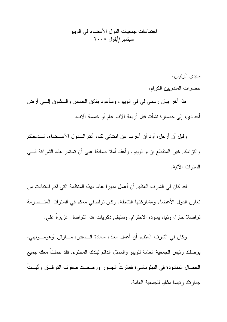## اجتماعات جمعيات الدول الأعضاء في الويبو سبتمبر /أيلول ٢٠٠٨

سيدي الر ئيس، حضر ات المندوبين الكر ام، هذا أخر بيان رسمي لمي في الويبو، وسأعود بفائق الحماس والـــشوق إلــــي أرض

أجدادي، إلى حضارة نشأت قبل أربعة آلاف عام أو خمسة آلاف.

وقبل أن أرحل، أود أن أعرب عن امتناني لكم، أنتم الـــدول الأعـــضاء، لـــدعمكم والنزامكم غير المنقطع إزاء الويبو. وأعقد أملا صادقا على أن نستمر هذه الشراكة فـــي السنوات الآتبة.

لقد كان لي الشرف العظيم أن أعمل مديرا عاما لهذه المنظمة التي لكم استفادت من تعاون الدول الأعضاء ومشاركتها النشطة. وكان تواصلي معكم في السنوات المنــصـرمة نواصلا حارا، ودّيا، يسوده الاحترام. وسنبقى ذكريات هذا النواصل عزيزةً علمي.

وكان لـى الشرف العظيم أن أعمل معك، سعادة الـــسفير ، مــــارنن أوهومــــوبـهي، بوصفك رئيس الجمعية العامة للويبو والممثل الدائم لبلدك المحترم. فقد حملت معك جميع الخصـال المنشودة في الدبلوماسي؛ فعمّرتَ الجسور ورصصت صفوف النوافــق وأثبــتَّ حدار تك رئيسا مثاليا للحمعية العامة.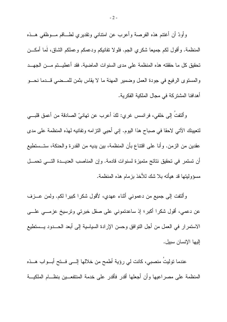وأودَّ أن أغتنم هذه الفرصة وأعرب عن امتناني وتقديري لطـــاقم مـــوظفي هـــذه المنظمة. وأقول لكم جميعا شكري الجم. فلولا نفانيكم ودعمكم وعملكم الشاق، لَما أمكـــن تحقيق كل ما حققته هذه المنظمة على مدى السنوات الماضية. فقد أعطيـــتم مـــن الجهـــد والمستوى الرفيع في جودة العمل وضمير المهنة ما لا يقاس بثمن للمــضـي قــدما نحـــو أهدافنا المشتركة في مجال الملكية الفكرية.

وألنفتُ إلى خلفي، فرانسس غري: لكَ أعرب عن تهانيِّ الصادقة من أعمق قلبـــي لتعيينك الآتي لاحقا في صباح هذا اليوم. إني أحيى التزامه وتفانيه لهذه المنظمة على مدى عقدين من الزمن. وأنا على اقتناع بأن المنظمة، بين يديه من القدرة والحنكة، ستــستطيع أن تستمر في تحقيق نتائج متميزة لسنوات قادمة. وإن المناصب العديـــدة التـــي تحمـــل مسؤوليتها قد هيأته بلا شك للأخذ بزمام هذه المنظمة.

وألنفت إلى جميع من دعموني أثناء عهدي، لأقول شكرا كبيرا لكم. ولمن عـــزف عن دعمي، أقول شكرا أكبر؛ إذ ساعدتموني على صقل خبرتي ونرسيخ عزمـــي علــــي الاستمرار في العمل من أجل النوافق وحسن الإرادة السياسية إلى أبعد الحــدود يــستطيع اليها الإنسان سبيل.

عندما نوليتَ منصبي، كانت لي رؤية أطمح من خلالها إلـــي فــتح أبـــواب هـــذه المنظمة على مصراعيها وأن أجعلها أقدر فأقدر على خدمة المنتفعــين بنظــام الملكيـــة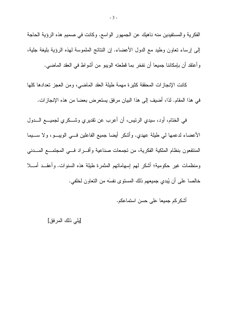الفكرية والمستفيدين منه ناهيك عن الجمهور الواسع. وكانت في صميم هذه الرؤية الحاجة إلى إرساء نعاون وطيد مع الدول الأعضاء. إن النتائج الملموسة لهذه الرؤية بليغة جلية، وأعتقد أن بإمكاننا جميعا أن نفخر بما قطعته الويبو من أشواط في العقد الماضي.

كانت الإنجازات المحققة كثيرة مهمة طيلة العقد الماضيي، ومن العجز تعدادها كلها في هذا المقام. لذا، أضبف إلى هذا البيان مرفق يستعرض بعضا من هذه الإنجازات.

في الختام، أود، سيدي الرئيس، أن أعرب عن تقديري وشـــكري لجميـــع الــــدول الأعضاء لدعمها لي طيلة عهدي. وأشكر أيضا جميع الفاعلين فسي الويبسو، ولا سسيما المنتفعون بنظام الملكية الفكرية، من تجمعات صناعية وأفـــراد فـــي المجتمـــع المـــدني ومنظمات غير حكومية؛ أشكر لمهم إسهاماتهم المثمرة طيلة هذه السنوات. وأعقــد أمـــلا خالصـا علـى أن يُبدي جميعهم ذلك المسنو ي نفسَه من النعاون لخلفي.

أشكركم جميعا على حسن استماعكم.

[يلي ذلك المرفق]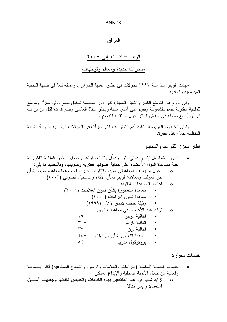**ANNEX** 

### المرفق

# الويبو - ١٩٩٧ إلى ٢٠٠٨ مبادرات جديدة ومعالم وتوجّهات

شهدت الويبو منذ سنة ١٩٩٧ تحولات في نطاق عملها الجوهري وعمقه كما في بنيتها التحتية المؤسسية والمادية.

وفي إدارة هذا التوسُّع الكبير والتغيُّر العميق، كان دور المنظمة تحقيق نظام دولي معزَّز وموسَّع للملكية الفكرية يتَّسم بالشمولُّية ويقوم على أسس متينة وييسَّر النفاذ العالمي ويتيح قاعدةً لكل من يرغبّ في أن يُسمع صوته في النقاش الدائر حول مستقبله التنموي.

وتبيّن الخطوط العريضة التالية أهم التطورات التي طرأت في المجالات الرئيسية مــن أنــشطة المنظمة خلال هذه الفتر ة.

إطار معزَّز للقواعد والمعايير

خدمات معز ٌز ة

خدمات الحماية العالمية (البراءات والعلامات والرسوم والنماذج الصناعية) أكثر بــساطة  $\bullet$ وفعالية من خلال الأتمتة الداخلية والإيداع الشبكي تزايد شديد في عدد المنتفعين بِّهذه الخدَّمات وتخفيض تكلفتها وجعلهـــا أســـهل  $\circ$ استعمالا وأيسر منالا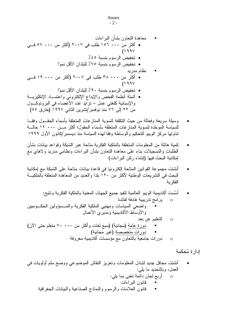#### Annex  $-2-$

معاهدة التعاون بشأن البراءات • أكثر من ١٠٠ ١٥٦ طلب في ٢٠٠٧ (أكثر من ٥٧ ٠٠٠ مفي  $(199V$ • تخفيض الرسوم بنسبة ٤٥٪ • تخفيض الرسوم بنسبة ٧٥٪ للبلدان الأقل نموّا نظام مدريد • أكثر من ٣٨٠٠٠ طلب في ٢٠٠٧ (أكثر من ١٩٠٠ فــي  $(199V$ • تخفيض الرسوم بنسبة ٩٠٪ للبلدان الأقل نموّا • أتمتة أنظمة الفحص والإيداع الإلكتروني واعتمــاد الإنكليزيـــة والإسبانية كلغتبي عمل – نزَّايد عدد الأعضاء في البرونوكــول

من ٢٢ إلى ٧٦ منذ نوفمبر /تشرين الثاني ١٩٩٧ (بفارق ٥٥)

- وسيلة سريعة وفعالة من حيث التكلفة لتسوية المنازعات المتعلقة بأسماء الحقـول وفقــا للسياسة الموحّدة لتسوية المنازعات المتعلقة بأسماء الحقول؛ أكثر مــن ١٢٠٠ حالـــة تناولها مركز الوببو للتحكيم والوساطة وفقا لهذه السياسة منذ ديسمبر /كانون الأول ١٩٩٩
- كمية هائلة من المعلومات المتعلقة بالملكية الفكر ية متاحة عبر الشبكة وقواعد بيانات بشأن الطلبات والتسجيلات بناء علىى معاهدة النعاون بشأن البراءات ونظامي مدريد ولاهاي مع إمكانية البحث فيها (إنشاء ركن البر اءات)
- أنشئت مجموعة القوانين المتاحة إلكترونيا في فاعدة بيانات متاحة على الشبكة مع إمكانية البحث في التشريعات الوطنية لأكثر من ١٢٠ بلدا والعديد من المعاهدة المتعلقة بالملكيـــة الفكر بة

## ادار ة مُحكمة

أنشئت محافل جديد لنبادل المعلومات وتعزيز النقاش الموضوعي ووضع سلم أولويات في العمل، وبالتحديد ما يلي: أربع لجان دائمة تعني بما يلي:  $\circ$ قانون البر اءات قانون العلامات والرسوم والنماذج الصناعية والبيانات الجغرافية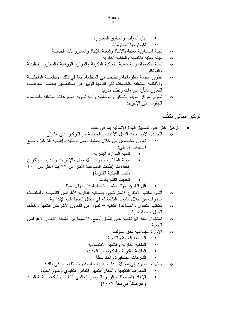- لجنة حكومية دولية معنية بالملكية الفكرية والموارد الوراثية والمعارف التقليدية  $\circ$ و الفو لكلو ر
- تطوير ۖ أنظمة معلوماتية وتتقيحها في المنظمة، بما في ذلك الأنظمـــة الداخليـــة  $\circ$ والأنظمة المتعلقة بالخدمات التي تقدمها الويبو إلى المنتفعـــين بنظـــام معاهـــدة التعاون بشأن البراءات ونظام مدريد
- تطوير مركز الويبو للتحكيم والوساطة وآلية تسوية المنازعات المتعلقة بأســماء  $\circ$ الحقول على الإنترنت

# تركيز إنمائي مكثّف

- تركيز أكثر على تضبيق الهوة الإنمائية بما في ذلك: النصدي لاحتياجات الدول الأعضاء الخاصة مع النزكيز على ما يلي:  $\circ$ تعاون مخصَّص من خلال خطط العمل وطنية وإقليمية التركيز، مـــع استهداف ما يلي: تنمية الموارد البشرية أتمتة المكاتب وأدوات الاتصال بالإنترنت والتدريب وتكوين
- الكفاءات (قدِّمت المساعدة لأكثر من ٧٥ بلدا/أكثر من ١٠٠ مكتب للملكية الفكرية**)**<br>تدديث التثب مات

- أقل البلدان نموّا؛ أنشئت شعبة البلدان الأقل نموّا
- أنشئ مكتب الانتفاع الاستراتيجي بالملكية الفكرية لأغراض التتميـــة وأطلقـــت  $\circ$ مبادر ات من خلال الشعب التابعة له في مجال الصناعات الإبداعية
- مكانب النعاون والمساعدة النقنية نطوَّر من النعاون لأغراض النتمية وخطط  $\circ$ العمل وطنية النركيز
- استخدام اللغة البرتغالية على نطاق أوسع، لا سيما في أنشطة التعاون لأغراض  $\circ$ التنمية

الإنفاذ (استضافت الويبو المؤتمر العالمي الثالث لمكافحـــة التقليــد والقرصنة في سنة ٢٠٠٧)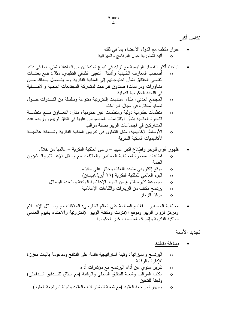تكامل أكبر

- حوار مكثَّف مع الدول الأعضاء بما في ذلك ألية نشاورية حول البرنامج والمبزانية  $\circ$
- تباحث أكثر للقضايا الرئيسية مع تزايد في تتو ع المتدخلين من قطاعات شتي، بما في ذلك أصـحاب المعارف التقليدية وأشكال النعبير الثقافي النقليدي، مثال: تسع بعثـــات لتقصبي الحقائق بشأن احتياجاتهم إلى الملكية الفكَّرية وما يتـــصل بـــذلك مـــن مشاورات ودراسات؛ صندوق نبر عات لمشاركة المجتمعات المحلية والأصطبة في اللجنة الحكومية الدولية
- المجتمع المدنى، مثال: منتديات الكترونية متنوعة وسلسلة من النسدوات حسول  $\circ$ قضايا مختارة في مجال البراءات
- منظمات حكومية دولية ومنظمات غير حكومية، مثال: النعـــاون مـــع منظمـــة  $\circ$ النجارة العالمية بشأن الالنز امات المنصوص عليها في اتفاق نرييس وزيادة عدد المشاركين في اجتماعات الويبو بصفة مراقب
- الأوساط الأكاديمية: مثال النعاون في ندريس الملكية الفكرية وشـــبكة عالميـــة  $\circ$ لأكاديميات الملكية الفكر ية

- اليوم العالمي للملكية الفكرية (٢٦ أبريل/نيسان)  $\circ$
- مجموعة كثيرة النتوع من المواد الإعلامية المهادفة ومتعددة الوسائل  $\circ$ 
	- برنامج مكثف من الزيارات واللقاءات الإعلامية  $\circ$ 
		- مركز الزوار  $\circ$
- مخاطبة الجماهير انفتاح المنظمة على العالم الخارجي: العلاقات مع وســـائل الإعــــلام ومركز لزوار الويبو وموّقع الإنترنت ومكتبة الويبو الإلكترونية والأحتفاء باليوم العالمي للملكية الفكرية وإشراك المنظمات غير الحكومية

تحديد الأمانة

- مساءلة مشدَّدة
- البرنامج والمبزانية: وثيقة استراتيجية قائمة على النتائج ومدعومة بآليات معزّزة  $\circ$ للإدارة والرقابة
	- تقرير سنوي عن أداء البرنامج مع مؤشرات أداء  $\circ$
- مكتب المراقب وشعبة للتدقيق الداخلي والرقابة (مع ميثاق للتــدقيق الــداخلي)  $\circ$ و لجنة للتدقيق
	- وجهاز لمراجعة العقود (مع شعبة للمشتريات والعقود ولجنة لمراجعة العقود)  $\circ$